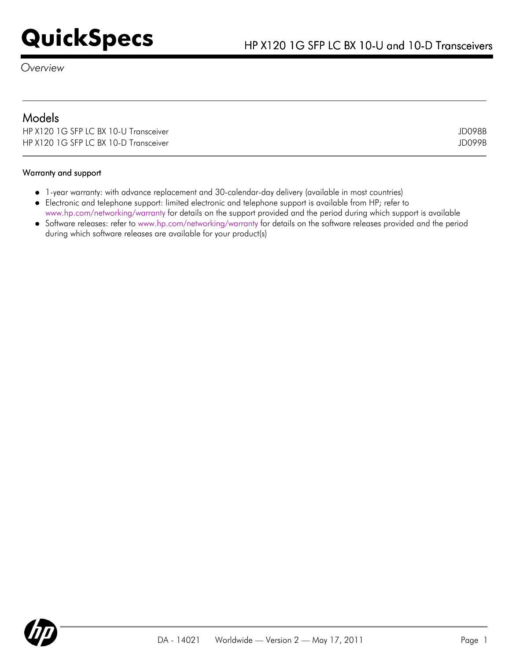# **QuickSpecs** HP X120 1G SFP LC BX 10-U and 10-D Transceivers

*Overview*

| <b>Models</b>                         |        |
|---------------------------------------|--------|
| HP X120 1G SFP LC BX 10-U Transceiver | JD098B |
| HP X120 1G SFP LC BX 10-D Transceiver | JD099B |

### Warranty and support

- 1-year warranty: with advance replacement and 30-calendar-day delivery (available in most countries)
- Electronic and telephone support: limited electronic and telephone support is available from HP; refer to
- [www.hp.com/networking/warranty](http://www.hp.com/networking/warranty) for details on the support provided and the period during which support is available
- Software releases: refer to [www.hp.com/networking/warranty](http://www.hp.com/networking/warranty) for details on the software releases provided and the period during which software releases are available for your product(s)